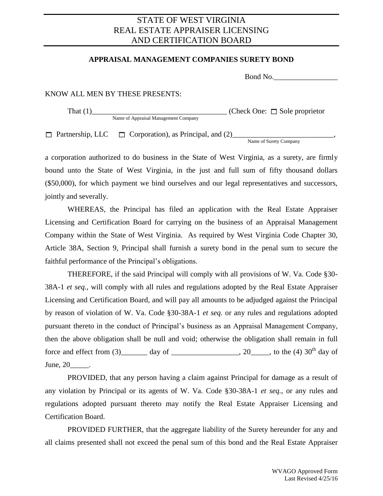## STATE OF WEST VIRGINIA REAL ESTATE APPRAISER LICENSING AND CERTIFICATION BOARD

## **APPRAISAL MANAGEMENT COMPANIES SURETY BOND**

Bond No.

## KNOW ALL MEN BY THESE PRESENTS:

Name of Appraisal Management Company

That (1)\_\_\_\_\_\_\_\_\_\_\_\_\_\_\_\_\_\_\_\_\_\_\_\_\_\_\_\_\_\_\_\_\_\_\_\_ (Check One: Sole proprietor

Partnership, LLC Corporation), as Principal, and (2)\_\_\_\_\_\_\_\_\_\_\_\_\_\_\_\_\_\_\_\_\_\_\_\_\_\_\_,

Name of Surety Company

a corporation authorized to do business in the State of West Virginia, as a surety, are firmly bound unto the State of West Virginia, in the just and full sum of fifty thousand dollars (\$50,000), for which payment we bind ourselves and our legal representatives and successors, jointly and severally.

WHEREAS, the Principal has filed an application with the Real Estate Appraiser Licensing and Certification Board for carrying on the business of an Appraisal Management Company within the State of West Virginia. As required by West Virginia Code Chapter 30, Article 38A, Section 9, Principal shall furnish a surety bond in the penal sum to secure the faithful performance of the Principal's obligations.

THEREFORE, if the said Principal will comply with all provisions of W. Va. Code §30- 38A-1 *et seq.*, will comply with all rules and regulations adopted by the Real Estate Appraiser Licensing and Certification Board, and will pay all amounts to be adjudged against the Principal by reason of violation of W. Va. Code §30-38A-1 *et seq.* or any rules and regulations adopted pursuant thereto in the conduct of Principal's business as an Appraisal Management Company, then the above obligation shall be null and void; otherwise the obligation shall remain in full force and effect from (3)  $\qquad \qquad \text{day of} \qquad \qquad .20 \qquad .$  to the (4) 30<sup>th</sup> day of June, 20 .

PROVIDED, that any person having a claim against Principal for damage as a result of any violation by Principal or its agents of W. Va. Code §30-38A-1 *et seq.*, or any rules and regulations adopted pursuant thereto may notify the Real Estate Appraiser Licensing and Certification Board.

PROVIDED FURTHER, that the aggregate liability of the Surety hereunder for any and all claims presented shall not exceed the penal sum of this bond and the Real Estate Appraiser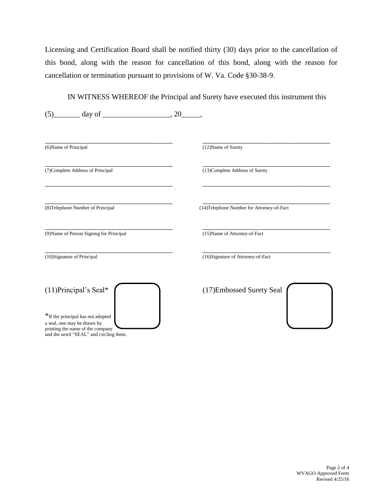Licensing and Certification Board shall be notified thirty (30) days prior to the cancellation of this bond, along with the reason for cancellation of this bond, along with the reason for cancellation or termination pursuant to provisions of W. Va. Code §30-38-9.

IN WITNESS WHEREOF the Principal and Surety have executed this instrument this

| (12) Name of Surety                        |
|--------------------------------------------|
|                                            |
| (13) Complete Address of Surety            |
| (14) Telephone Number for Attorney-of-Fact |
| (15) Name of Attorney-of-Fact              |
| (16)Signature of Attorney-of-Fact          |
| (17) Embossed Surety Seal                  |
|                                            |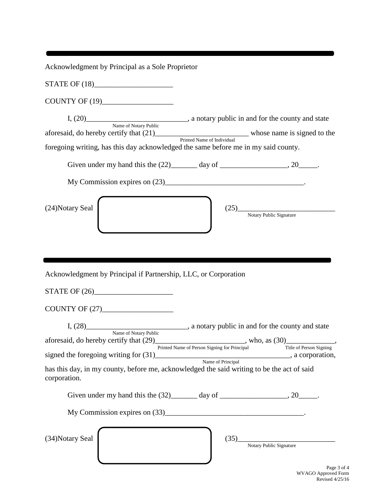Acknowledgment by Principal as a Sole Proprietor

STATE OF  $(18)$ 

COUNTY OF (19)\_\_\_\_\_\_\_\_\_\_\_\_\_\_\_\_\_\_\_

I,  $(20)$  \_\_\_\_\_\_\_\_\_\_\_\_\_\_\_\_\_\_\_\_\_\_\_\_\_\_\_\_\_, a notary public in and for the county and state Name of Notary Public aforesaid, do hereby certify that (21)\_\_\_\_\_\_\_\_\_\_\_\_\_\_\_\_\_\_\_\_\_\_\_\_\_ whose name is signed to the Printed Name of Individual foregoing writing, has this day acknowledged the same before me in my said county.

Given under my hand this the  $(22)$  day of \_\_\_\_\_\_\_\_\_\_\_\_\_\_\_, 20\_\_\_\_\_.

My Commission expires on (23)\_\_\_\_\_\_\_\_\_\_\_\_\_\_\_\_\_\_\_\_\_\_\_\_\_\_\_\_\_\_\_\_\_\_\_\_\_.

 $(24)$ Notary Seal (25)\_

Notary Public Signature

Acknowledgment by Principal if Partnership, LLC, or Corporation

STATE OF (26)\_\_\_\_\_\_\_\_\_\_\_\_\_\_\_\_\_\_\_\_\_

COUNTY OF (27)

I, (28) a notary public in and for the county and state Name of Notary Public aforesaid, do hereby certify that  $(29)$ \_\_\_\_\_\_\_\_\_\_\_\_\_\_\_\_\_\_\_\_\_\_, who, as  $(30)$ \_\_\_\_\_\_\_\_\_\_\_\_, Printed Name of Person Signing for Principal Title of Person Signing signed the foregoing writing for (31)\_\_\_\_\_\_\_\_\_\_\_\_\_\_\_\_\_\_\_\_\_\_\_\_\_\_\_, a corporation,

Name of Principal has this day, in my county, before me, acknowledged the said writing to be the act of said corporation.

Given under my hand this the  $(32)$  day of \_\_\_\_\_\_\_\_\_\_\_\_\_\_\_, 20\_\_\_\_\_.

My Commission expires on (33)\_\_\_\_\_\_\_\_\_\_\_\_\_\_\_\_\_\_\_\_\_\_\_\_\_\_\_\_\_\_\_\_\_\_\_\_\_.

 $(34)$ Notary Seal  $\begin{bmatrix} \end{bmatrix}$  (34)

| (35) |                         |  |
|------|-------------------------|--|
|      | Notary Public Signature |  |